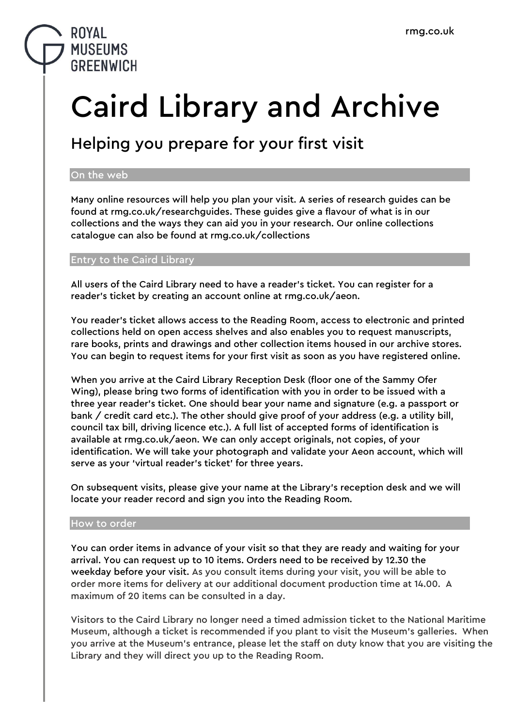### **ROYAL MUSEUMS GREENWICH**

# Caird Library and Archive

## Helping you prepare for your first visit

### On the web

Many online resources will help you plan your visit. A series of research guides can be found at rmg.co.uk/researchguides. These guides give a flavour of what is in our collections and the ways they can aid you in your research. Our online collections catalogue can also be found at rmg.co.uk/collections

### Entry to the Caird Library

All users of the Caird Library need to have a reader's ticket. You can register for a reader's ticket by creating an account online at rmg.co.uk/aeon.

You reader's ticket allows access to the Reading Room, access to electronic and printed collections held on open access shelves and also enables you to request manuscripts, rare books, prints and drawings and other collection items housed in our archive stores. You can begin to request items for your first visit as soon as you have registered online.

When you arrive at the Caird Library Reception Desk (floor one of the Sammy Ofer Wing), please bring two forms of identification with you in order to be issued with a three year reader's ticket. One should bear your name and signature (e.g. a passport or bank / credit card etc.). The other should give proof of your address (e.g. a utility bill, council tax bill, driving licence etc.). A full list of accepted forms of identification is available at rmg.co.uk/aeon. We can only accept originals, not copies, of your identification. We will take your photograph and validate your Aeon account, which will serve as your 'virtual reader's ticket' for three years.

On subsequent visits, please give your name at the Library's reception desk and we will locate your reader record and sign you into the Reading Room.

### How to order

You can order items in advance of your visit so that they are ready and waiting for your arrival. You can request up to 10 items. Orders need to be received by 12.30 the weekday before your visit. As you consult items during your visit, you will be able to order more items for delivery at our additional document production time at 14.00. A maximum of 20 items can be consulted in a day.

Visitors to the Caird Library no longer need a timed admission ticket to the National Maritime Museum, although a ticket is recommended if you plant to visit the Museum's galleries. When you arrive at the Museum's entrance, please let the staff on duty know that you are visiting the Library and they will direct you up to the Reading Room.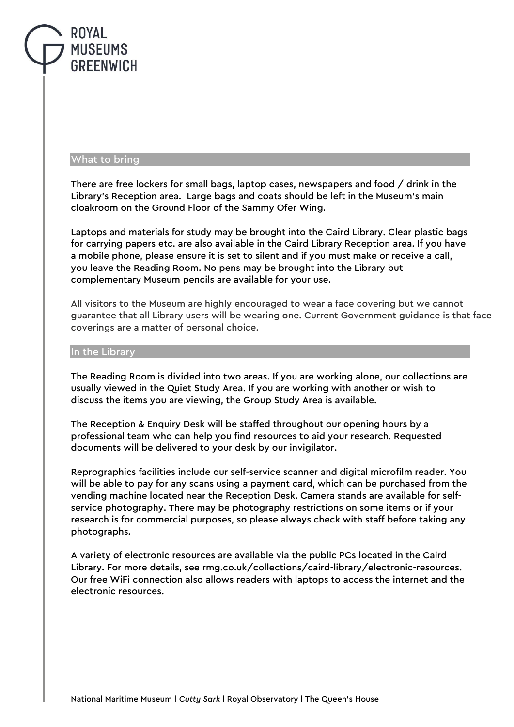### ROYAL **MUSEUMS GREENWICH**

#### What to bring

There are free lockers for small bags, laptop cases, newspapers and food / drink in the Library's Reception area. Large bags and coats should be left in the Museum's main cloakroom on the Ground Floor of the Sammy Ofer Wing.

Laptops and materials for study may be brought into the Caird Library. Clear plastic bags for carrying papers etc. are also available in the Caird Library Reception area. If you have a mobile phone, please ensure it is set to silent and if you must make or receive a call, you leave the Reading Room. No pens may be brought into the Library but complementary Museum pencils are available for your use.

All visitors to the Museum are highly encouraged to wear a face covering but we cannot guarantee that all Library users will be wearing one. Current Government guidance is that face coverings are a matter of personal choice.

#### In the Library

The Reading Room is divided into two areas. If you are working alone, our collections are usually viewed in the Quiet Study Area. If you are working with another or wish to discuss the items you are viewing, the Group Study Area is available.

The Reception & Enquiry Desk will be staffed throughout our opening hours by a professional team who can help you find resources to aid your research. Requested documents will be delivered to your desk by our invigilator.

Reprographics facilities include our self-service scanner and digital microfilm reader. You will be able to pay for any scans using a payment card, which can be purchased from the vending machine located near the Reception Desk. Camera stands are available for selfservice photography. There may be photography restrictions on some items or if your research is for commercial purposes, so please always check with staff before taking any photographs.

A variety of electronic resources are available via the public PCs located in the Caird Library. For more details, see rmg.co.uk/collections/caird-library/electronic-resources. Our free WiFi connection also allows readers with laptops to access the internet and the electronic resources.